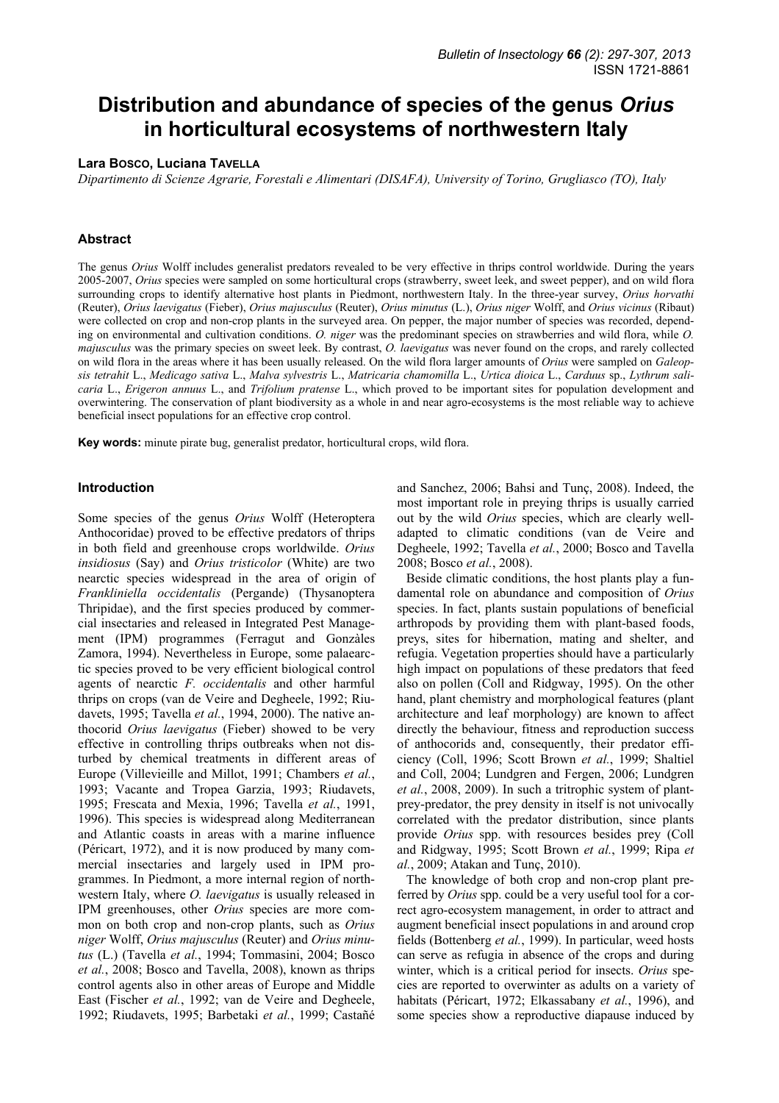# **Distribution and abundance of species of the genus** *Orius* **in horticultural ecosystems of northwestern Italy**

# **Lara BOSCO, Luciana TAVELLA**

*Dipartimento di Scienze Agrarie, Forestali e Alimentari (DISAFA), University of Torino, Grugliasco (TO), Italy* 

# **Abstract**

The genus *Orius* Wolff includes generalist predators revealed to be very effective in thrips control worldwide. During the years 2005-2007, *Orius* species were sampled on some horticultural crops (strawberry, sweet leek, and sweet pepper), and on wild flora surrounding crops to identify alternative host plants in Piedmont, northwestern Italy. In the three-year survey, *Orius horvathi* (Reuter), *Orius laevigatus* (Fieber), *Orius majusculus* (Reuter), *Orius minutus* (L.), *Orius niger* Wolff, and *Orius vicinus* (Ribaut) were collected on crop and non-crop plants in the surveyed area. On pepper, the major number of species was recorded, depending on environmental and cultivation conditions. *O. niger* was the predominant species on strawberries and wild flora, while *O. majusculus* was the primary species on sweet leek. By contrast, *O. laevigatus* was never found on the crops, and rarely collected on wild flora in the areas where it has been usually released. On the wild flora larger amounts of *Orius* were sampled on *Galeopsis tetrahit* L., *Medicago sativa* L., *Malva sylvestris* L., *Matricaria chamomilla* L., *Urtica dioica* L., *Carduus* sp., *Lythrum salicaria* L., *Erigeron annuus* L., and *Trifolium pratense* L., which proved to be important sites for population development and overwintering. The conservation of plant biodiversity as a whole in and near agro-ecosystems is the most reliable way to achieve beneficial insect populations for an effective crop control.

**Key words:** minute pirate bug, generalist predator, horticultural crops, wild flora.

## **Introduction**

Some species of the genus *Orius* Wolff (Heteroptera Anthocoridae) proved to be effective predators of thrips in both field and greenhouse crops worldwilde. *Orius insidiosus* (Say) and *Orius tristicolor* (White) are two nearctic species widespread in the area of origin of *Frankliniella occidentalis* (Pergande) (Thysanoptera Thripidae), and the first species produced by commercial insectaries and released in Integrated Pest Management (IPM) programmes (Ferragut and Gonzàles Zamora, 1994). Nevertheless in Europe, some palaearctic species proved to be very efficient biological control agents of nearctic *F. occidentalis* and other harmful thrips on crops (van de Veire and Degheele, 1992; Riudavets, 1995; Tavella *et al.*, 1994, 2000). The native anthocorid *Orius laevigatus* (Fieber) showed to be very effective in controlling thrips outbreaks when not disturbed by chemical treatments in different areas of Europe (Villevieille and Millot, 1991; Chambers *et al.*, 1993; Vacante and Tropea Garzia, 1993; Riudavets, 1995; Frescata and Mexia, 1996; Tavella *et al.*, 1991, 1996). This species is widespread along Mediterranean and Atlantic coasts in areas with a marine influence (Péricart, 1972), and it is now produced by many commercial insectaries and largely used in IPM programmes. In Piedmont, a more internal region of northwestern Italy, where *O. laevigatus* is usually released in IPM greenhouses, other *Orius* species are more common on both crop and non-crop plants, such as *Orius niger* Wolff, *Orius majusculus* (Reuter) and *Orius minutus* (L.) (Tavella *et al.*, 1994; Tommasini, 2004; Bosco *et al.*, 2008; Bosco and Tavella, 2008), known as thrips control agents also in other areas of Europe and Middle East (Fischer *et al.*, 1992; van de Veire and Degheele, 1992; Riudavets, 1995; Barbetaki *et al.*, 1999; Castañé

and Sanchez, 2006; Bahsi and Tunç, 2008). Indeed, the most important role in preying thrips is usually carried out by the wild *Orius* species, which are clearly welladapted to climatic conditions (van de Veire and Degheele, 1992; Tavella *et al.*, 2000; Bosco and Tavella 2008; Bosco *et al.*, 2008).

Beside climatic conditions, the host plants play a fundamental role on abundance and composition of *Orius* species. In fact, plants sustain populations of beneficial arthropods by providing them with plant-based foods, preys, sites for hibernation, mating and shelter, and refugia. Vegetation properties should have a particularly high impact on populations of these predators that feed also on pollen (Coll and Ridgway, 1995). On the other hand, plant chemistry and morphological features (plant architecture and leaf morphology) are known to affect directly the behaviour, fitness and reproduction success of anthocorids and, consequently, their predator efficiency (Coll, 1996; Scott Brown *et al.*, 1999; Shaltiel and Coll, 2004; Lundgren and Fergen, 2006; Lundgren *et al.*, 2008, 2009). In such a tritrophic system of plantprey-predator, the prey density in itself is not univocally correlated with the predator distribution, since plants provide *Orius* spp. with resources besides prey (Coll and Ridgway, 1995; Scott Brown *et al.*, 1999; Ripa *et al.*, 2009; Atakan and Tunç, 2010).

The knowledge of both crop and non-crop plant preferred by *Orius* spp. could be a very useful tool for a correct agro-ecosystem management, in order to attract and augment beneficial insect populations in and around crop fields (Bottenberg *et al.*, 1999). In particular, weed hosts can serve as refugia in absence of the crops and during winter, which is a critical period for insects. *Orius* species are reported to overwinter as adults on a variety of habitats (Péricart, 1972; Elkassabany *et al.*, 1996), and some species show a reproductive diapause induced by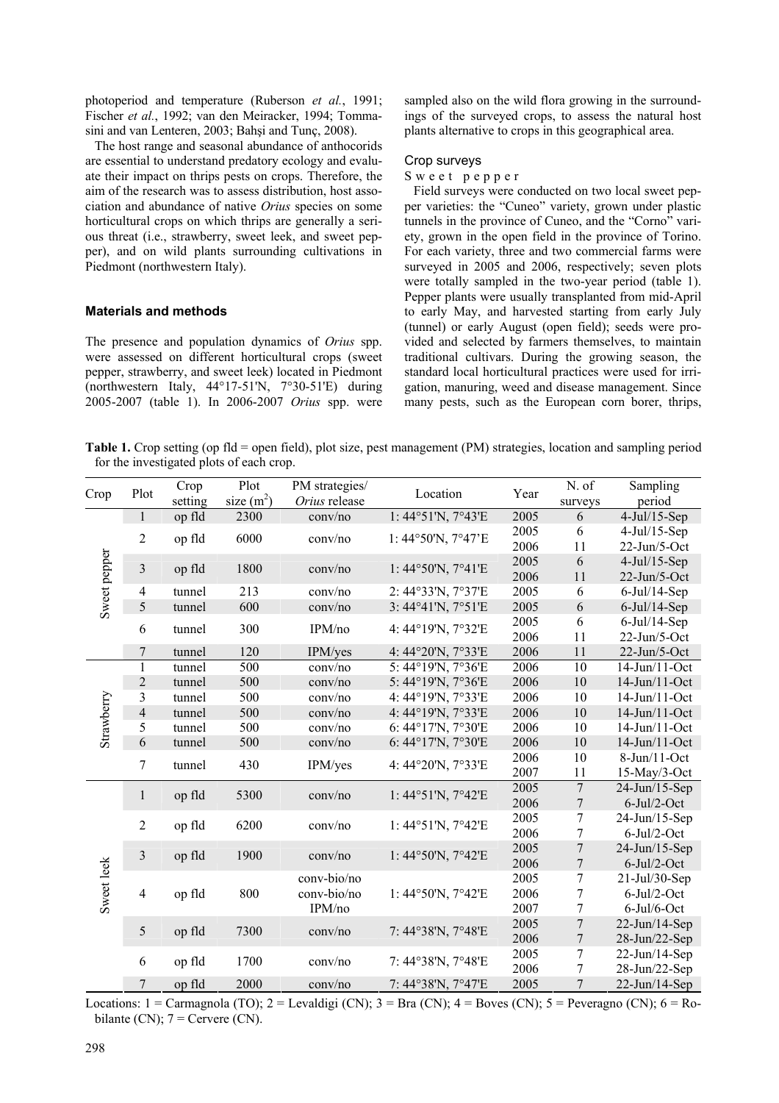photoperiod and temperature (Ruberson *et al.*, 1991; Fischer *et al.*, 1992; van den Meiracker, 1994; Tommasini and van Lenteren, 2003; Bahşi and Tunç, 2008).

The host range and seasonal abundance of anthocorids are essential to understand predatory ecology and evaluate their impact on thrips pests on crops. Therefore, the aim of the research was to assess distribution, host association and abundance of native *Orius* species on some horticultural crops on which thrips are generally a serious threat (i.e., strawberry, sweet leek, and sweet pepper), and on wild plants surrounding cultivations in Piedmont (northwestern Italy).

# **Materials and methods**

The presence and population dynamics of *Orius* spp. were assessed on different horticultural crops (sweet pepper, strawberry, and sweet leek) located in Piedmont (northwestern Italy, 44°17-51'N, 7°30-51'E) during 2005-2007 (table 1). In 2006-2007 *Orius* spp. were sampled also on the wild flora growing in the surroundings of the surveyed crops, to assess the natural host plants alternative to crops in this geographical area.

#### Crop surveys

#### Sweet pepper

Field surveys were conducted on two local sweet pepper varieties: the "Cuneo" variety, grown under plastic tunnels in the province of Cuneo, and the "Corno" variety, grown in the open field in the province of Torino. For each variety, three and two commercial farms were surveyed in 2005 and 2006, respectively; seven plots were totally sampled in the two-year period (table 1). Pepper plants were usually transplanted from mid-April to early May, and harvested starting from early July (tunnel) or early August (open field); seeds were provided and selected by farmers themselves, to maintain traditional cultivars. During the growing season, the standard local horticultural practices were used for irrigation, manuring, weed and disease management. Since many pests, such as the European corn borer, thrips,

**Table 1.** Crop setting (op fld = open field), plot size, pest management (PM) strategies, location and sampling period for the investigated plots of each crop.

| Crop         | Plot                    | Crop<br>setting | Plot<br>$size(m^2)$ | PM strategies/<br>Orius release | Location           | Year | N. of<br>surveys | Sampling<br>period |  |
|--------------|-------------------------|-----------------|---------------------|---------------------------------|--------------------|------|------------------|--------------------|--|
| Sweet pepper | $\mathbf{1}$            | op fld          | 2300                | conv/no                         | 1:44°51'N, 7°43'E  | 2005 | 6                | $4$ -Jul/15-Sep    |  |
|              | $\overline{2}$          | op fld          | 6000                | conv/no                         |                    | 2005 | 6                | $4$ -Jul/15-Sep    |  |
|              |                         |                 |                     |                                 | 1:44°50'N, 7°47'E  | 2006 | 11               | 22-Jun/5-Oct       |  |
|              | $\overline{\mathbf{3}}$ | op fld          | 1800                | conv/no                         |                    | 2005 | 6                | $4$ -Jul/15-Sep    |  |
|              |                         |                 |                     |                                 | 1:44°50'N, 7°41'E  | 2006 | 11               | 22-Jun/5-Oct       |  |
|              | $\overline{4}$          | tunnel          | 213                 | conv/no                         | 2: 44°33'N, 7°37'E | 2005 | 6                | $6$ -Jul/14-Sep    |  |
|              | 5                       | tunnel          | 600                 | conv/no                         | 3:44°41'N, 7°51'E  | 2005 | 6                | $6$ -Jul/14-Sep    |  |
|              | 6                       | tunnel          | 300                 | IPM/no                          | 4: 44°19'N, 7°32'E | 2005 | 6                | $6$ -Jul/14-Sep    |  |
|              |                         |                 |                     |                                 |                    | 2006 | 11               | 22-Jun/5-Oct       |  |
|              | $\tau$                  | tunnel          | 120                 | IPM/yes                         | 4: 44°20'N, 7°33'E | 2006 | 11               | 22-Jun/5-Oct       |  |
|              | $\mathbf{1}$            | tunnel          | 500                 | conv/no                         | 5:44°19'N, 7°36'E  | 2006 | 10               | 14-Jun/11-Oct      |  |
|              | $\overline{2}$          | tunnel          | 500                 | conv/no                         | 5:44°19'N, 7°36'E  | 2006 | 10               | 14-Jun/11-Oct      |  |
|              | $\overline{\mathbf{3}}$ | tunnel          | 500                 | conv/no                         | 4: 44°19'N, 7°33'E | 2006 | 10               | 14-Jun/11-Oct      |  |
| Strawberry   | $\overline{4}$          | tunnel          | 500                 | conv/no                         | 4: 44°19'N, 7°33'E | 2006 | 10               | 14-Jun/11-Oct      |  |
|              | 5                       | tunnel          | 500                 | conv/no                         | 6:44°17'N, 7°30'E  | 2006 | 10               | 14-Jun/11-Oct      |  |
|              | 6                       | tunnel          | 500                 | conv/no                         | 6:44°17'N, 7°30'E  | 2006 | 10               | 14-Jun/11-Oct      |  |
|              | $\overline{7}$          | tunnel          | 430                 | IPM/yes                         | 4: 44°20'N, 7°33'E | 2006 | 10               | $8$ -Jun/11-Oct    |  |
|              |                         |                 |                     |                                 |                    | 2007 | 11               | $15$ -May/3-Oct    |  |
|              | $\mathbf{1}$            | op fld          | 5300                | conv/no                         | 1:44°51'N, 7°42'E  | 2005 | $\overline{7}$   | 24-Jun/15-Sep      |  |
|              |                         |                 |                     |                                 |                    | 2006 | $\tau$           | $6$ -Jul/2-Oct     |  |
|              | $\overline{2}$          | op fld          | 6200                | conv/no                         | 1:44°51'N, 7°42'E  | 2005 | 7                | 24-Jun/15-Sep      |  |
|              |                         |                 |                     |                                 |                    | 2006 | 7                | $6$ -Jul/2-Oct     |  |
|              | 3                       | op fld          | 1900                | conv/no                         |                    | 2005 | $\boldsymbol{7}$ | $24$ -Jun/15-Sep   |  |
|              |                         |                 |                     |                                 | 1:44°50'N, 7°42'E  | 2006 | $\boldsymbol{7}$ | $6$ -Jul/2-Oct     |  |
|              | $\overline{4}$          | op fld          | 800                 | conv-bio/no<br>conv-bio/no      |                    | 2005 | $\boldsymbol{7}$ | 21-Jul/30-Sep      |  |
| Sweet leek   |                         |                 |                     |                                 | 1:44°50'N, 7°42'E  | 2006 | $\boldsymbol{7}$ | $6$ -Jul/2-Oct     |  |
|              |                         |                 |                     | IPM/no                          |                    | 2007 | $\sqrt{ }$       | $6$ -Jul/ $6$ -Oct |  |
|              | $\sqrt{5}$              | op fld          | 7300                | conv/no                         | 7:44°38'N, 7°48'E  | 2005 | $\boldsymbol{7}$ | $22$ -Jun/14-Sep   |  |
|              |                         |                 |                     |                                 |                    | 2006 | $\boldsymbol{7}$ | 28-Jun/22-Sep      |  |
|              | 6                       |                 | 1700                | conv/no                         | 7: 44°38'N, 7°48'E | 2005 | $\tau$           | $22$ -Jun/14-Sep   |  |
|              |                         | op fld          |                     |                                 |                    | 2006 | 7                | 28-Jun/22-Sep      |  |
|              | 7                       | op fld          | 2000                | conv/no                         | 7:44°38'N, 7°47'E  | 2005 | 7                | $22$ -Jun/14-Sep   |  |

Locations: 1 = Carmagnola (TO); 2 = Levaldigi (CN); 3 = Bra (CN); 4 = Boves (CN); 5 = Peveragno (CN); 6 = Robilante  $(CN)$ :  $7 = \text{Cervere } (CN)$ .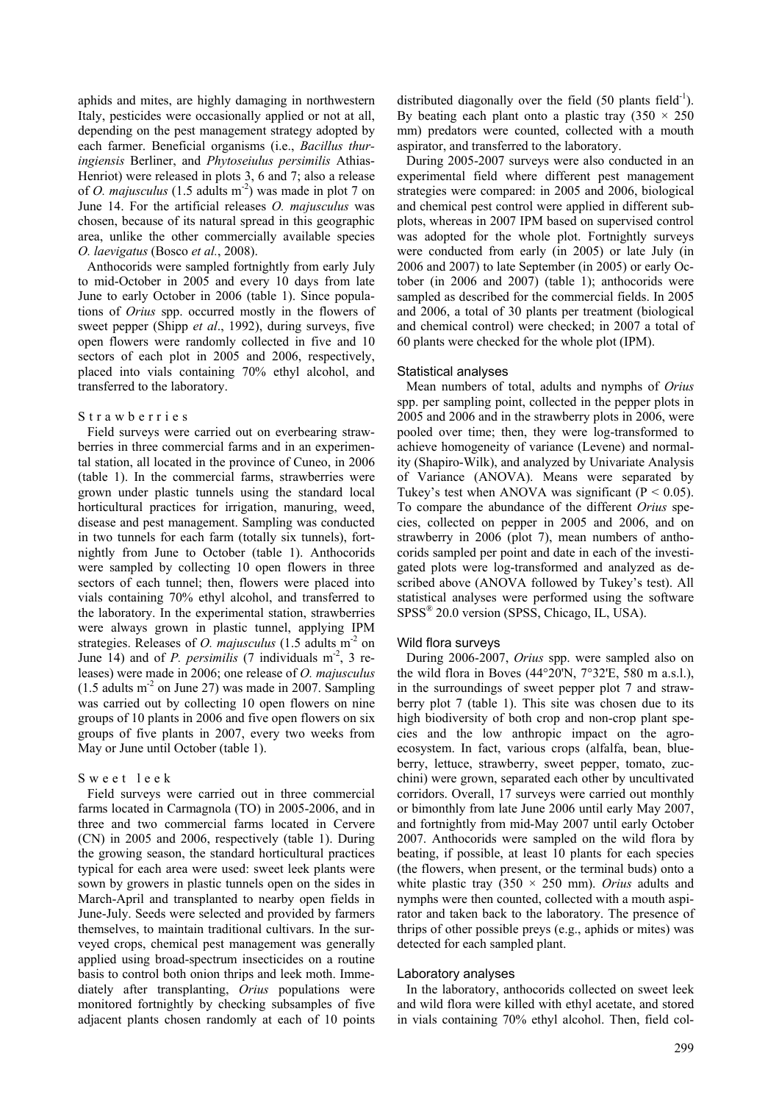aphids and mites, are highly damaging in northwestern Italy, pesticides were occasionally applied or not at all, depending on the pest management strategy adopted by each farmer. Beneficial organisms (i.e., *Bacillus thuringiensis* Berliner, and *Phytoseiulus persimilis* Athias-Henriot) were released in plots 3, 6 and 7; also a release of *O. majusculus* (1.5 adults m-2) was made in plot 7 on June 14. For the artificial releases *O. majusculus* was chosen, because of its natural spread in this geographic area, unlike the other commercially available species *O. laevigatus* (Bosco *et al.*, 2008).

Anthocorids were sampled fortnightly from early July to mid-October in 2005 and every 10 days from late June to early October in 2006 (table 1). Since populations of *Orius* spp. occurred mostly in the flowers of sweet pepper (Shipp *et al*., 1992), during surveys, five open flowers were randomly collected in five and 10 sectors of each plot in 2005 and 2006, respectively, placed into vials containing 70% ethyl alcohol, and transferred to the laboratory.

#### Strawberries

Field surveys were carried out on everbearing strawberries in three commercial farms and in an experimental station, all located in the province of Cuneo, in 2006 (table 1). In the commercial farms, strawberries were grown under plastic tunnels using the standard local horticultural practices for irrigation, manuring, weed, disease and pest management. Sampling was conducted in two tunnels for each farm (totally six tunnels), fortnightly from June to October (table 1). Anthocorids were sampled by collecting 10 open flowers in three sectors of each tunnel; then, flowers were placed into vials containing 70% ethyl alcohol, and transferred to the laboratory. In the experimental station, strawberries were always grown in plastic tunnel, applying IPM strategies. Releases of *O. majusculus* (1.5 adults m<sup>-2</sup> on June 14) and of *P. persimilis* (7 individuals  $m<sup>2</sup>$ , 3 releases) were made in 2006; one release of *O. majusculus*  $(1.5$  adults m<sup>-2</sup> on June 27) was made in 2007. Sampling was carried out by collecting 10 open flowers on nine groups of 10 plants in 2006 and five open flowers on six groups of five plants in 2007, every two weeks from May or June until October (table 1).

#### Sweet leek

Field surveys were carried out in three commercial farms located in Carmagnola (TO) in 2005-2006, and in three and two commercial farms located in Cervere (CN) in 2005 and 2006, respectively (table 1). During the growing season, the standard horticultural practices typical for each area were used: sweet leek plants were sown by growers in plastic tunnels open on the sides in March-April and transplanted to nearby open fields in June-July. Seeds were selected and provided by farmers themselves, to maintain traditional cultivars. In the surveyed crops, chemical pest management was generally applied using broad-spectrum insecticides on a routine basis to control both onion thrips and leek moth. Immediately after transplanting, *Orius* populations were monitored fortnightly by checking subsamples of five adjacent plants chosen randomly at each of 10 points

distributed diagonally over the field  $(50 \text{ plants field}^{-1})$ . By beating each plant onto a plastic tray  $(350 \times 250)$ mm) predators were counted, collected with a mouth aspirator, and transferred to the laboratory.

During 2005-2007 surveys were also conducted in an experimental field where different pest management strategies were compared: in 2005 and 2006, biological and chemical pest control were applied in different subplots, whereas in 2007 IPM based on supervised control was adopted for the whole plot. Fortnightly surveys were conducted from early (in 2005) or late July (in 2006 and 2007) to late September (in 2005) or early October (in 2006 and 2007) (table 1); anthocorids were sampled as described for the commercial fields. In 2005 and 2006, a total of 30 plants per treatment (biological and chemical control) were checked; in 2007 a total of 60 plants were checked for the whole plot (IPM).

## Statistical analyses

Mean numbers of total, adults and nymphs of *Orius* spp. per sampling point, collected in the pepper plots in 2005 and 2006 and in the strawberry plots in 2006, were pooled over time; then, they were log-transformed to achieve homogeneity of variance (Levene) and normality (Shapiro-Wilk), and analyzed by Univariate Analysis of Variance (ANOVA). Means were separated by Tukey's test when ANOVA was significant ( $P < 0.05$ ). To compare the abundance of the different *Orius* species, collected on pepper in 2005 and 2006, and on strawberry in 2006 (plot 7), mean numbers of anthocorids sampled per point and date in each of the investigated plots were log-transformed and analyzed as described above (ANOVA followed by Tukey's test). All statistical analyses were performed using the software SPSS® 20.0 version (SPSS, Chicago, IL, USA).

#### Wild flora surveys

During 2006-2007, *Orius* spp. were sampled also on the wild flora in Boves  $(44^{\circ}20^{\prime}\text{N}, 7^{\circ}32^{\prime}\text{E}, 580 \text{ m a.s.}!)$ , in the surroundings of sweet pepper plot 7 and strawberry plot 7 (table 1). This site was chosen due to its high biodiversity of both crop and non-crop plant species and the low anthropic impact on the agroecosystem. In fact, various crops (alfalfa, bean, blueberry, lettuce, strawberry, sweet pepper, tomato, zucchini) were grown, separated each other by uncultivated corridors. Overall, 17 surveys were carried out monthly or bimonthly from late June 2006 until early May 2007, and fortnightly from mid-May 2007 until early October 2007. Anthocorids were sampled on the wild flora by beating, if possible, at least 10 plants for each species (the flowers, when present, or the terminal buds) onto a white plastic tray  $(350 \times 250 \text{ mm})$ . *Orius* adults and nymphs were then counted, collected with a mouth aspirator and taken back to the laboratory. The presence of thrips of other possible preys (e.g., aphids or mites) was detected for each sampled plant.

#### Laboratory analyses

In the laboratory, anthocorids collected on sweet leek and wild flora were killed with ethyl acetate, and stored in vials containing 70% ethyl alcohol. Then, field col-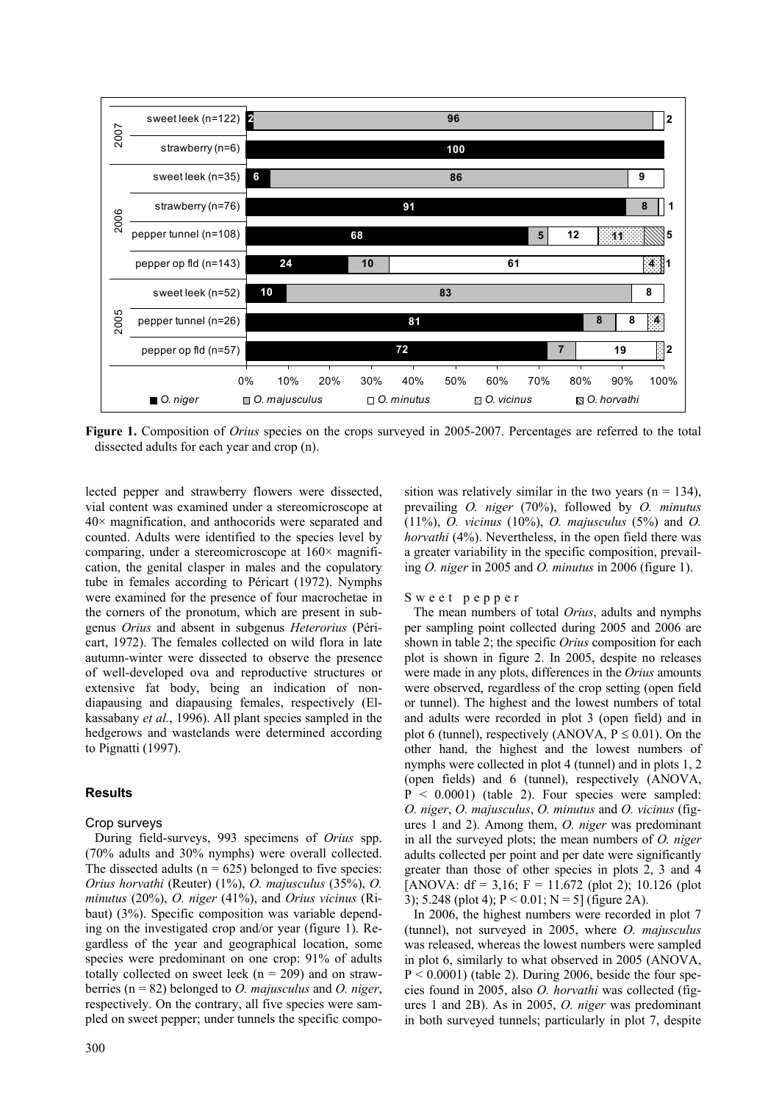

**Figure 1.** Composition of *Orius* species on the crops surveyed in 2005-2007. Percentages are referred to the total dissected adults for each year and crop (n).

lected pepper and strawberry flowers were dissected, vial content was examined under a stereomicroscope at  $40\times$  magnification, and anthocorids were separated and counted. Adults were identified to the species level by comparing, under a stereomicroscope at  $160 \times$  magnification, the genital clasper in males and the copulatory tube in females according to Péricart (1972). Nymphs were examined for the presence of four macrochetae in the corners of the pronotum, which are present in subgenus *Orius* and absent in subgenus *Heterorius* (Péricart, 1972). The females collected on wild flora in late autumn-winter were dissected to observe the presence of well-developed ova and reproductive structures or extensive fat body, being an indication of nondiapausing and diapausing females, respectively (Elkassabany *et al.*, 1996). All plant species sampled in the hedgerows and wastelands were determined according to Pignatti (1997).

## **Results**

## Crop surveys

During field-surveys, 993 specimens of *Orius* spp. (70% adults and 30% nymphs) were overall collected. The dissected adults ( $n = 625$ ) belonged to five species: *Orius horvathi* (Reuter) (1%), *O. majusculus* (35%), *O. minutus* (20%), *O. niger* (41%), and *Orius vicinus* (Ribaut) (3%). Specific composition was variable depending on the investigated crop and/or year (figure 1). Regardless of the year and geographical location, some species were predominant on one crop: 91% of adults totally collected on sweet leek ( $n = 209$ ) and on strawberries (n = 82) belonged to *O. majusculus* and *O. niger*, respectively. On the contrary, all five species were sampled on sweet pepper; under tunnels the specific composition was relatively similar in the two years ( $n = 134$ ), prevailing *O. niger* (70%), followed by *O. minutus* (11%), *O. vicinus* (10%), *O. majusculus* (5%) and *O. horvathi* (4%). Nevertheless, in the open field there was a greater variability in the specific composition, prevailing *O. niger* in 2005 and *O. minutus* in 2006 (figure 1).

## Sweet pepper

The mean numbers of total *Orius*, adults and nymphs per sampling point collected during 2005 and 2006 are shown in table 2; the specific *Orius* composition for each plot is shown in figure 2. In 2005, despite no releases were made in any plots, differences in the *Orius* amounts were observed, regardless of the crop setting (open field or tunnel). The highest and the lowest numbers of total and adults were recorded in plot 3 (open field) and in plot 6 (tunnel), respectively (ANOVA,  $P \le 0.01$ ). On the other hand, the highest and the lowest numbers of nymphs were collected in plot 4 (tunnel) and in plots 1, 2 (open fields) and 6 (tunnel), respectively (ANOVA,  $P < 0.0001$ ) (table 2). Four species were sampled: *O. niger*, *O. majusculus*, *O. minutus* and *O. vicinus* (figures 1 and 2). Among them, *O. niger* was predominant in all the surveyed plots; the mean numbers of *O. niger* adults collected per point and per date were significantly greater than those of other species in plots 2, 3 and 4 [ANOVA:  $df = 3.16$ ; F = 11.672 (plot 2); 10.126 (plot 3); 5.248 (plot 4);  $P < 0.01$ ;  $N = 5$ ] (figure 2A).

In 2006, the highest numbers were recorded in plot 7 (tunnel), not surveyed in 2005, where *O. majusculus* was released, whereas the lowest numbers were sampled in plot 6, similarly to what observed in 2005 (ANOVA,  $P < 0.0001$ ) (table 2). During 2006, beside the four species found in 2005, also *O. horvathi* was collected (figures 1 and 2B). As in 2005, *O. niger* was predominant in both surveyed tunnels; particularly in plot 7, despite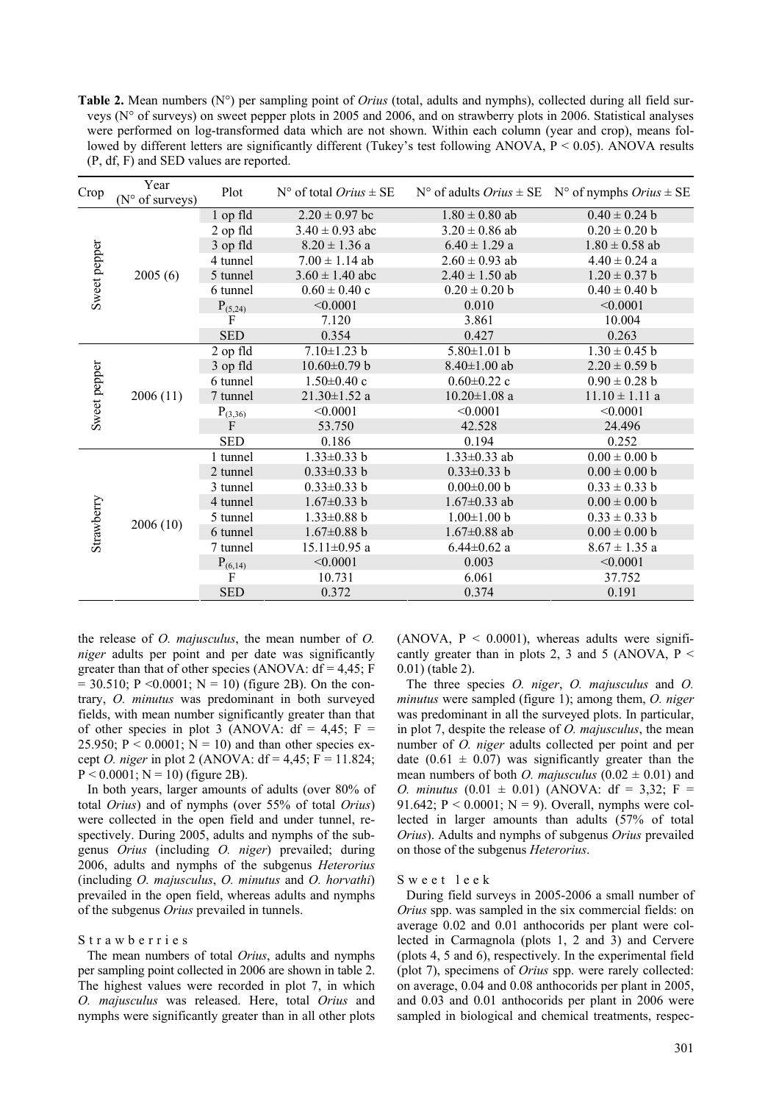**Table 2.** Mean numbers (N°) per sampling point of *Orius* (total, adults and nymphs), collected during all field surveys (N° of surveys) on sweet pepper plots in 2005 and 2006, and on strawberry plots in 2006. Statistical analyses were performed on log-transformed data which are not shown. Within each column (year and crop), means followed by different letters are significantly different (Tukey's test following ANOVA, P < 0.05). ANOVA results (P, df, F) and SED values are reported.

| Crop         | Year<br>(N° of surveys) | Plot         | $N^{\circ}$ of total <i>Orius</i> $\pm$ SE |                    | N° of adults $Orius \pm SE$ N° of nymphs $Orius \pm SE$ |  |  |
|--------------|-------------------------|--------------|--------------------------------------------|--------------------|---------------------------------------------------------|--|--|
| Sweet pepper | 2005(6)                 | 1 op fld     | $2.20 \pm 0.97$ bc                         | $1.80 \pm 0.80$ ab | $0.40 \pm 0.24$ b                                       |  |  |
|              |                         | 2 op fld     | $3.40 \pm 0.93$ abc                        | $3.20 \pm 0.86$ ab | $0.20 \pm 0.20$ b                                       |  |  |
|              |                         | 3 op fld     | $8.20 \pm 1.36$ a                          | $6.40 \pm 1.29$ a  | $1.80 \pm 0.58$ ab                                      |  |  |
|              |                         | 4 tunnel     | $7.00 \pm 1.14$ ab                         | $2.60 \pm 0.93$ ab | $4.40 \pm 0.24$ a                                       |  |  |
|              |                         | 5 tunnel     | $3.60 \pm 1.40$ abc                        | $2.40 \pm 1.50$ ab | $1.20 \pm 0.37$ b                                       |  |  |
|              |                         | 6 tunnel     | $0.60 \pm 0.40$ c                          | $0.20 \pm 0.20$ b  | $0.40 \pm 0.40$ b                                       |  |  |
|              |                         | $P_{(5,24)}$ | < 0.0001                                   | 0.010              | < 0.0001                                                |  |  |
|              |                         | F            | 7.120                                      | 3.861              | 10.004                                                  |  |  |
|              |                         | <b>SED</b>   | 0.354                                      | 0.427              | 0.263                                                   |  |  |
| Sweet pepper |                         | 2 op fld     | $7.10 \pm 1.23$ b                          | $5.80 \pm 1.01$ b  | $1.30 \pm 0.45$ b                                       |  |  |
|              |                         | 3 op fld     | $10.60 \pm 0.79$ b                         | $8.40 \pm 1.00$ ab | $2.20 \pm 0.59$ b                                       |  |  |
|              |                         | 6 tunnel     | $1.50 \pm 0.40$ c                          | $0.60 \pm 0.22$ c  | $0.90 \pm 0.28$ b                                       |  |  |
|              | 2006(11)                | 7 tunnel     | $21.30 \pm 1.52$ a                         | $10.20 \pm 1.08$ a | $11.10 \pm 1.11$ a                                      |  |  |
|              |                         | $P_{(3,36)}$ | < 0.0001                                   | < 0.0001           | < 0.0001                                                |  |  |
|              |                         | F            | 53.750                                     | 42.528             | 24.496                                                  |  |  |
|              |                         | <b>SED</b>   | 0.186                                      | 0.194              | 0.252                                                   |  |  |
| Strawberry   |                         | 1 tunnel     | $1.33 \pm 0.33$ b                          | $1.33 \pm 0.33$ ab | $0.00 \pm 0.00 b$                                       |  |  |
|              |                         | 2 tunnel     | $0.33 \pm 0.33$ b                          | $0.33 \pm 0.33$ b  | $0.00 \pm 0.00 b$                                       |  |  |
|              |                         | 3 tunnel     | $0.33 \pm 0.33$ b                          | $0.00 \pm 0.00 b$  | $0.33 \pm 0.33$ b                                       |  |  |
|              |                         | 4 tunnel     | $1.67 \pm 0.33$ b                          | $1.67 \pm 0.33$ ab | $0.00 \pm 0.00 b$                                       |  |  |
|              | 2006(10)                | 5 tunnel     | $1.33 \pm 0.88$ b                          | $1.00 \pm 1.00$ b  | $0.33 \pm 0.33$ b                                       |  |  |
|              |                         | 6 tunnel     | $1.67 \pm 0.88$ b                          | $1.67 \pm 0.88$ ab | $0.00 \pm 0.00 b$                                       |  |  |
|              |                         | 7 tunnel     | $15.11 \pm 0.95$ a                         | $6.44 \pm 0.62$ a  | $8.67 \pm 1.35$ a                                       |  |  |
|              |                         | $P_{(6,14)}$ | < 0.0001                                   | 0.003              | < 0.0001                                                |  |  |
|              |                         | F            | 10.731                                     | 6.061              | 37.752                                                  |  |  |
|              |                         | <b>SED</b>   | 0.372                                      | 0.374              | 0.191                                                   |  |  |

the release of *O. majusculus*, the mean number of *O. niger* adults per point and per date was significantly greater than that of other species (ANOVA:  $df = 4.45$ ; F  $= 30.510$ ; P <0.0001; N = 10) (figure 2B). On the contrary, *O. minutus* was predominant in both surveyed fields, with mean number significantly greater than that of other species in plot 3 (ANOVA:  $df = 4.45$ ; F = 25.950;  $P < 0.0001$ ;  $N = 10$ ) and than other species except *O. niger* in plot 2 (ANOVA: df = 4,45; F = 11.824;  $P < 0.0001$ ; N = 10) (figure 2B).

In both years, larger amounts of adults (over 80% of total *Orius*) and of nymphs (over 55% of total *Orius*) were collected in the open field and under tunnel, respectively. During 2005, adults and nymphs of the subgenus *Orius* (including *O. niger*) prevailed; during 2006, adults and nymphs of the subgenus *Heterorius* (including *O. majusculus*, *O. minutus* and *O. horvathi*) prevailed in the open field, whereas adults and nymphs of the subgenus *Orius* prevailed in tunnels.

Strawberries

The mean numbers of total *Orius*, adults and nymphs per sampling point collected in 2006 are shown in table 2. The highest values were recorded in plot 7, in which *O. majusculus* was released. Here, total *Orius* and nymphs were significantly greater than in all other plots (ANOVA,  $P < 0.0001$ ), whereas adults were significantly greater than in plots 2, 3 and 5 (ANOVA,  $P \le$ 0.01) (table 2).

The three species *O. niger*, *O. majusculus* and *O. minutus* were sampled (figure 1); among them, *O. niger* was predominant in all the surveyed plots. In particular, in plot 7, despite the release of *O. majusculus*, the mean number of *O. niger* adults collected per point and per date  $(0.61 \pm 0.07)$  was significantly greater than the mean numbers of both *O. majusculus*  $(0.02 \pm 0.01)$  and *O. minutus*  $(0.01 \pm 0.01)$  (ANOVA: df = 3,32; F = 91.642;  $P < 0.0001$ ;  $N = 9$ ). Overall, nymphs were collected in larger amounts than adults (57% of total *Orius*). Adults and nymphs of subgenus *Orius* prevailed on those of the subgenus *Heterorius*.

#### Sweet leek

During field surveys in 2005-2006 a small number of *Orius* spp. was sampled in the six commercial fields: on average 0.02 and 0.01 anthocorids per plant were collected in Carmagnola (plots 1, 2 and 3) and Cervere (plots 4, 5 and 6), respectively. In the experimental field (plot 7), specimens of *Orius* spp. were rarely collected: on average, 0.04 and 0.08 anthocorids per plant in 2005, and 0.03 and 0.01 anthocorids per plant in 2006 were sampled in biological and chemical treatments, respec-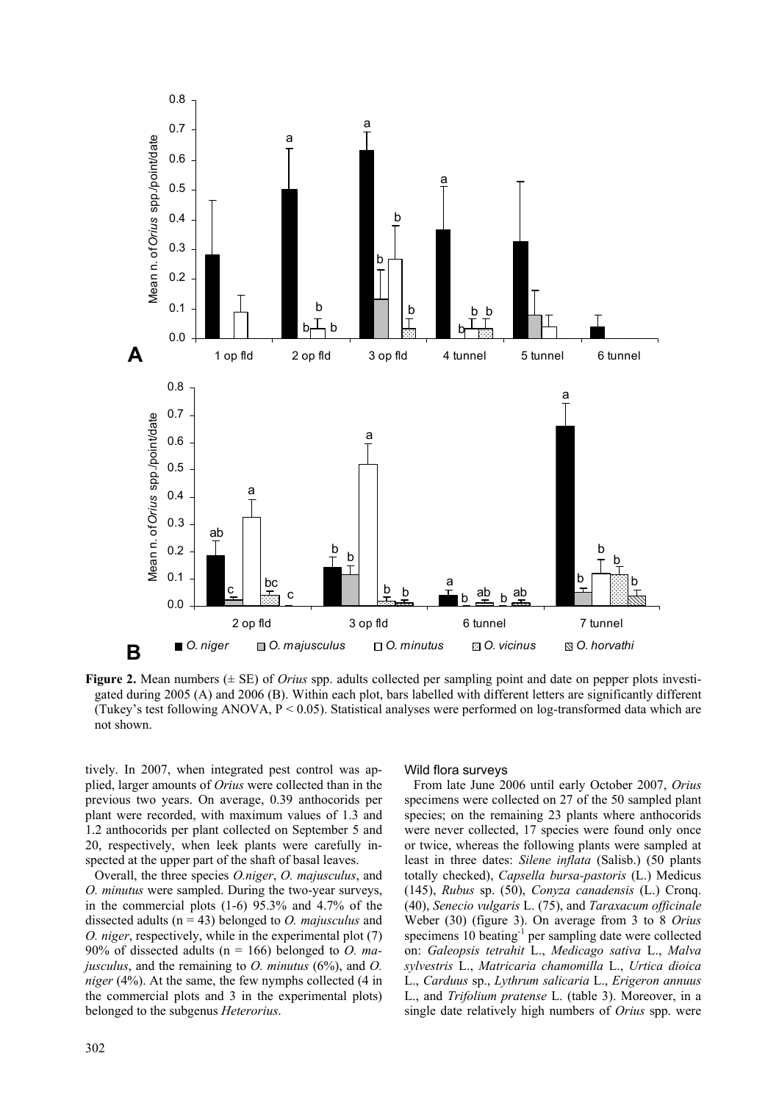

**Figure 2.** Mean numbers (± SE) of *Orius* spp. adults collected per sampling point and date on pepper plots investigated during 2005 (A) and 2006 (B). Within each plot, bars labelled with different letters are significantly different (Tukey's test following ANOVA,  $P < 0.05$ ). Statistical analyses were performed on log-transformed data which are not shown.

tively. In 2007, when integrated pest control was applied, larger amounts of *Orius* were collected than in the previous two years. On average, 0.39 anthocorids per plant were recorded, with maximum values of 1.3 and 1.2 anthocorids per plant collected on September 5 and 20, respectively, when leek plants were carefully inspected at the upper part of the shaft of basal leaves.

Overall, the three species *O.niger*, *O. majusculus*, and *O. minutus* were sampled. During the two-year surveys, in the commercial plots (1-6) 95.3% and 4.7% of the dissected adults (n = 43) belonged to *O. majusculus* and *O. niger*, respectively, while in the experimental plot (7) 90% of dissected adults (n = 166) belonged to *O. majusculus*, and the remaining to *O. minutus* (6%), and *O. niger* (4%). At the same, the few nymphs collected (4 in the commercial plots and 3 in the experimental plots) belonged to the subgenus *Heterorius*.

#### Wild flora surveys

From late June 2006 until early October 2007, *Orius* specimens were collected on 27 of the 50 sampled plant species; on the remaining 23 plants where anthocorids were never collected, 17 species were found only once or twice, whereas the following plants were sampled at least in three dates: *Silene inflata* (Salisb.) (50 plants totally checked), *Capsella bursa-pastoris* (L.) Medicus (145), *Rubus* sp. (50), *Conyza canadensis* (L.) Cronq. (40), *Senecio vulgaris* L. (75), and *Taraxacum officinale* Weber (30) (figure 3). On average from 3 to 8 *Orius* specimens 10 beating<sup>-1</sup> per sampling date were collected on: *Galeopsis tetrahit* L., *Medicago sativa* L., *Malva sylvestris* L., *Matricaria chamomilla* L., *Urtica dioica* L., *Carduus* sp., *Lythrum salicaria* L., *Erigeron annuus* L., and *Trifolium pratense* L. (table 3). Moreover, in a single date relatively high numbers of *Orius* spp. were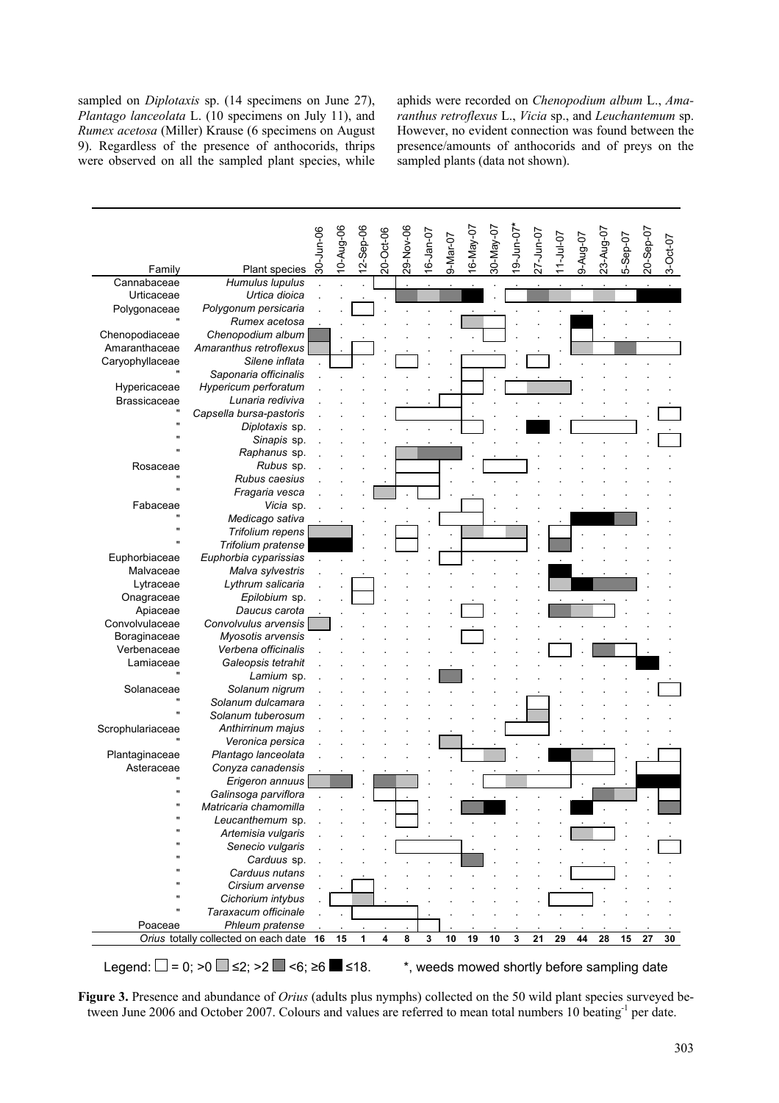sampled on *Diplotaxis* sp. (14 specimens on June 27), *Plantago lanceolata* L. (10 specimens on July 11), and *Rumex acetosa* (Miller) Krause (6 specimens on August 9). Regardless of the presence of anthocorids, thrips were observed on all the sampled plant species, while aphids were recorded on *Chenopodium album* L., *Amaranthus retroflexus* L., *Vicia* sp., and *Leuchantemum* sp. However, no evident connection was found between the presence/amounts of anthocorids and of preys on the sampled plants (data not shown).



**Figure 3.** Presence and abundance of *Orius* (adults plus nymphs) collected on the 50 wild plant species surveyed between June 2006 and October 2007. Colours and values are referred to mean total numbers 10 beating<sup>-1</sup> per date.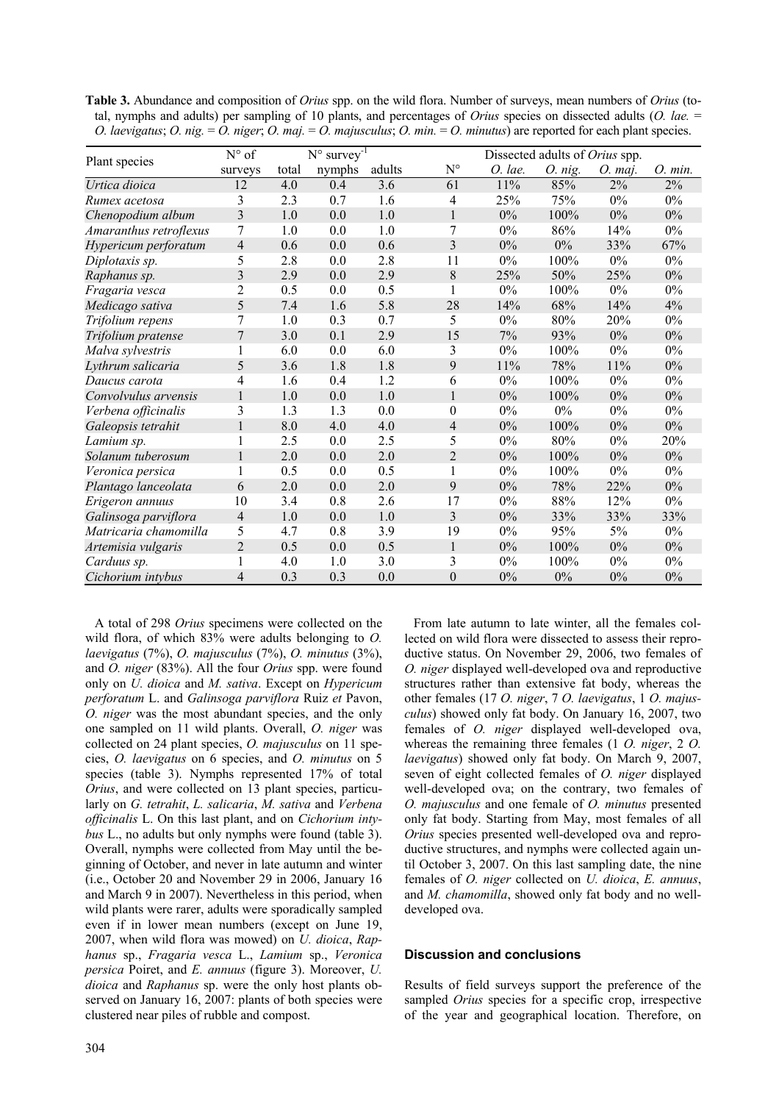| Table 3. Abundance and composition of <i>Orius</i> spp. on the wild flora. Number of surveys, mean numbers of <i>Orius</i> (to-     |
|-------------------------------------------------------------------------------------------------------------------------------------|
| tal, nymphs and adults) per sampling of 10 plants, and percentages of <i>Orius</i> species on dissected adults ( <i>O. lae.</i> $=$ |
| O. laevigatus; O. nig. = O. niger; O. maj. = O. majusculus; O. min. = O. minutus) are reported for each plant species.              |

|                        | $N^{\circ}$ survey <sup>-1</sup><br>$N^{\circ}$ of |       |        |        |                  | Dissected adults of Orius spp. |           |           |         |  |
|------------------------|----------------------------------------------------|-------|--------|--------|------------------|--------------------------------|-----------|-----------|---------|--|
| Plant species          | surveys                                            | total | nymphs | adults | $N^{\circ}$      | O. lae.                        | $O.$ nig. | $O.$ maj. | O. min. |  |
| Urtica dioica          | 12                                                 | 4.0   | 0.4    | 3.6    | 61               | 11%                            | 85%       | 2%        | 2%      |  |
| Rumex acetosa          | 3                                                  | 2.3   | 0.7    | 1.6    | 4                | 25%                            | 75%       | 0%        | $0\%$   |  |
| Chenopodium album      | 3                                                  | 1.0   | 0.0    | 1.0    | $\mathbf{1}$     | $0\%$                          | 100%      | 0%        | $0\%$   |  |
| Amaranthus retroflexus | 7                                                  | 1.0   | 0.0    | 1.0    | 7                | $0\%$                          | 86%       | 14%       | $0\%$   |  |
| Hypericum perforatum   | $\overline{4}$                                     | 0.6   | 0.0    | 0.6    | 3                | $0\%$                          | $0\%$     | 33%       | 67%     |  |
| Diplotaxis sp.         | 5                                                  | 2.8   | 0.0    | 2.8    | 11               | $0\%$                          | 100%      | $0\%$     | $0\%$   |  |
| Raphanus sp.           | $\overline{3}$                                     | 2.9   | 0.0    | 2.9    | 8                | 25%                            | 50%       | 25%       | $0\%$   |  |
| Fragaria vesca         | $\mathbf{2}$                                       | 0.5   | 0.0    | 0.5    | 1                | $0\%$                          | 100%      | 0%        | $0\%$   |  |
| Medicago sativa        | 5                                                  | 7.4   | 1.6    | 5.8    | 28               | 14%                            | 68%       | 14%       | 4%      |  |
| Trifolium repens       | $\overline{7}$                                     | 1.0   | 0.3    | 0.7    | 5                | $0\%$                          | 80%       | 20%       | $0\%$   |  |
| Trifolium pratense     | 7                                                  | 3.0   | 0.1    | 2.9    | 15               | 7%                             | 93%       | 0%        | $0\%$   |  |
| Malva sylvestris       | 1                                                  | 6.0   | 0.0    | 6.0    | 3                | 0%                             | 100%      | 0%        | $0\%$   |  |
| Lythrum salicaria      | 5                                                  | 3.6   | 1.8    | 1.8    | 9                | 11%                            | 78%       | 11%       | $0\%$   |  |
| Daucus carota          | 4                                                  | 1.6   | 0.4    | 1.2    | 6                | $0\%$                          | $100\%$   | $0\%$     | $0\%$   |  |
| Convolvulus arvensis   | 1                                                  | 1.0   | 0.0    | 1.0    | 1                | $0\%$                          | 100%      | 0%        | 0%      |  |
| Verbena officinalis    | 3                                                  | 1.3   | 1.3    | 0.0    | $\boldsymbol{0}$ | $0\%$                          | $0\%$     | $0\%$     | $0\%$   |  |
| Galeopsis tetrahit     | 1                                                  | 8.0   | 4.0    | 4.0    | $\overline{4}$   | $0\%$                          | 100%      | 0%        | $0\%$   |  |
| Lamium sp.             | 1                                                  | 2.5   | 0.0    | 2.5    | 5                | 0%                             | 80%       | 0%        | 20%     |  |
| Solanum tuberosum      | 1                                                  | 2.0   | 0.0    | 2.0    | $\overline{c}$   | $0\%$                          | 100%      | 0%        | $0\%$   |  |
| Veronica persica       | 1                                                  | 0.5   | 0.0    | 0.5    | 1                | $0\%$                          | 100%      | $0\%$     | $0\%$   |  |
| Plantago lanceolata    | 6                                                  | 2.0   | 0.0    | 2.0    | 9                | $0\%$                          | 78%       | 22%       | $0\%$   |  |
| Erigeron annuus        | 10                                                 | 3.4   | 0.8    | 2.6    | 17               | 0%                             | 88%       | 12%       | $0\%$   |  |
| Galinsoga parviflora   | $\overline{4}$                                     | 1.0   | 0.0    | 1.0    | 3                | $0\%$                          | 33%       | 33%       | 33%     |  |
| Matricaria chamomilla  | 5                                                  | 4.7   | 0.8    | 3.9    | 19               | $0\%$                          | 95%       | 5%        | $0\%$   |  |
| Artemisia vulgaris     | $\overline{2}$                                     | 0.5   | 0.0    | 0.5    | $\mathbf{1}$     | $0\%$                          | 100%      | 0%        | $0\%$   |  |
| Carduus sp.            |                                                    | 4.0   | 1.0    | 3.0    | 3                | $0\%$                          | 100%      | 0%        | $0\%$   |  |
| Cichorium intybus      | $\overline{4}$                                     | 0.3   | 0.3    | 0.0    | $\overline{0}$   | 0%                             | 0%        | 0%        | 0%      |  |

A total of 298 *Orius* specimens were collected on the wild flora, of which 83% were adults belonging to *O. laevigatus* (7%), *O. majusculus* (7%), *O. minutus* (3%), and *O. niger* (83%). All the four *Orius* spp. were found only on *U. dioica* and *M. sativa*. Except on *Hypericum perforatum* L. and *Galinsoga parviflora* Ruiz *et* Pavon, *O. niger* was the most abundant species, and the only one sampled on 11 wild plants. Overall, *O. niger* was collected on 24 plant species, *O. majusculus* on 11 species, *O. laevigatus* on 6 species, and *O. minutus* on 5 species (table 3). Nymphs represented 17% of total *Orius*, and were collected on 13 plant species, particularly on *G. tetrahit*, *L. salicaria*, *M. sativa* and *Verbena officinalis* L. On this last plant, and on *Cichorium intybus* L., no adults but only nymphs were found (table 3). Overall, nymphs were collected from May until the beginning of October, and never in late autumn and winter (i.e., October 20 and November 29 in 2006, January 16 and March 9 in 2007). Nevertheless in this period, when wild plants were rarer, adults were sporadically sampled even if in lower mean numbers (except on June 19, 2007, when wild flora was mowed) on *U. dioica*, *Raphanus* sp., *Fragaria vesca* L., *Lamium* sp., *Veronica persica* Poiret, and *E. annuus* (figure 3). Moreover, *U. dioica* and *Raphanus* sp. were the only host plants observed on January 16, 2007: plants of both species were clustered near piles of rubble and compost.

From late autumn to late winter, all the females collected on wild flora were dissected to assess their reproductive status. On November 29, 2006, two females of *O. niger* displayed well-developed ova and reproductive structures rather than extensive fat body, whereas the other females (17 *O. niger*, 7 *O. laevigatus*, 1 *O. majusculus*) showed only fat body. On January 16, 2007, two females of *O. niger* displayed well-developed ova, whereas the remaining three females (1 *O. niger*, 2 *O. laevigatus*) showed only fat body. On March 9, 2007, seven of eight collected females of *O. niger* displayed well-developed ova; on the contrary, two females of *O. majusculus* and one female of *O. minutus* presented only fat body. Starting from May, most females of all *Orius* species presented well-developed ova and reproductive structures, and nymphs were collected again until October 3, 2007. On this last sampling date, the nine females of *O. niger* collected on *U. dioica*, *E. annuus*, and *M. chamomilla*, showed only fat body and no welldeveloped ova.

# **Discussion and conclusions**

Results of field surveys support the preference of the sampled *Orius* species for a specific crop, irrespective of the year and geographical location. Therefore, on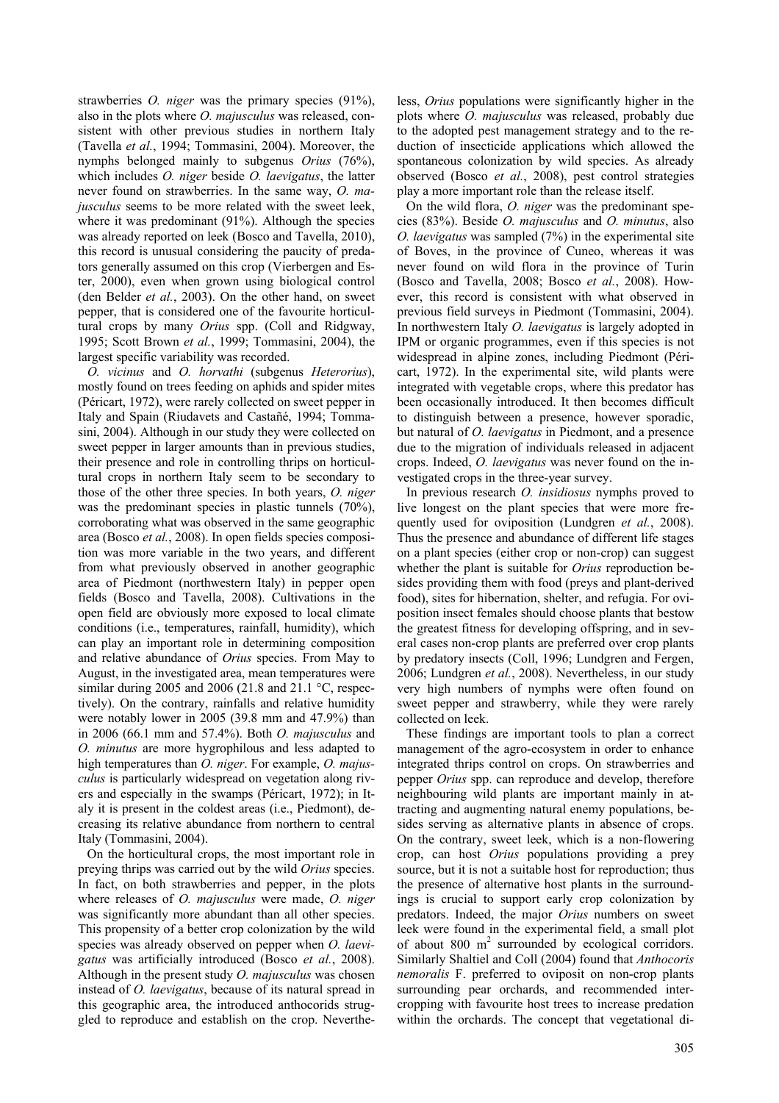strawberries *O. niger* was the primary species (91%), also in the plots where *O. majusculus* was released, consistent with other previous studies in northern Italy (Tavella *et al.*, 1994; Tommasini, 2004). Moreover, the nymphs belonged mainly to subgenus *Orius* (76%), which includes *O. niger* beside *O. laevigatus*, the latter never found on strawberries. In the same way, *O. majusculus* seems to be more related with the sweet leek, where it was predominant (91%). Although the species was already reported on leek (Bosco and Tavella, 2010), this record is unusual considering the paucity of predators generally assumed on this crop (Vierbergen and Ester, 2000), even when grown using biological control (den Belder *et al.*, 2003). On the other hand, on sweet pepper, that is considered one of the favourite horticultural crops by many *Orius* spp. (Coll and Ridgway, 1995; Scott Brown *et al.*, 1999; Tommasini, 2004), the largest specific variability was recorded.

*O. vicinus* and *O. horvathi* (subgenus *Heterorius*), mostly found on trees feeding on aphids and spider mites (Péricart, 1972), were rarely collected on sweet pepper in Italy and Spain (Riudavets and Castañé, 1994; Tommasini, 2004). Although in our study they were collected on sweet pepper in larger amounts than in previous studies, their presence and role in controlling thrips on horticultural crops in northern Italy seem to be secondary to those of the other three species. In both years, *O. niger* was the predominant species in plastic tunnels (70%), corroborating what was observed in the same geographic area (Bosco *et al.*, 2008). In open fields species composition was more variable in the two years, and different from what previously observed in another geographic area of Piedmont (northwestern Italy) in pepper open fields (Bosco and Tavella, 2008). Cultivations in the open field are obviously more exposed to local climate conditions (i.e., temperatures, rainfall, humidity), which can play an important role in determining composition and relative abundance of *Orius* species. From May to August, in the investigated area, mean temperatures were similar during 2005 and 2006 (21.8 and 21.1  $\degree$ C, respectively). On the contrary, rainfalls and relative humidity were notably lower in 2005 (39.8 mm and 47.9%) than in 2006 (66.1 mm and 57.4%). Both *O. majusculus* and *O. minutus* are more hygrophilous and less adapted to high temperatures than *O. niger*. For example, *O. majusculus* is particularly widespread on vegetation along rivers and especially in the swamps (Péricart, 1972); in Italy it is present in the coldest areas (i.e., Piedmont), decreasing its relative abundance from northern to central Italy (Tommasini, 2004).

On the horticultural crops, the most important role in preying thrips was carried out by the wild *Orius* species. In fact, on both strawberries and pepper, in the plots where releases of *O. majusculus* were made, *O. niger* was significantly more abundant than all other species. This propensity of a better crop colonization by the wild species was already observed on pepper when *O. laevigatus* was artificially introduced (Bosco *et al.*, 2008). Although in the present study *O. majusculus* was chosen instead of *O. laevigatus*, because of its natural spread in this geographic area, the introduced anthocorids struggled to reproduce and establish on the crop. Nevertheless, *Orius* populations were significantly higher in the plots where *O. majusculus* was released, probably due to the adopted pest management strategy and to the reduction of insecticide applications which allowed the spontaneous colonization by wild species. As already observed (Bosco *et al.*, 2008), pest control strategies play a more important role than the release itself.

On the wild flora, *O. niger* was the predominant species (83%). Beside *O. majusculus* and *O. minutus*, also *O. laevigatus* was sampled (7%) in the experimental site of Boves, in the province of Cuneo, whereas it was never found on wild flora in the province of Turin (Bosco and Tavella, 2008; Bosco *et al.*, 2008). However, this record is consistent with what observed in previous field surveys in Piedmont (Tommasini, 2004). In northwestern Italy *O. laevigatus* is largely adopted in IPM or organic programmes, even if this species is not widespread in alpine zones, including Piedmont (Péricart, 1972). In the experimental site, wild plants were integrated with vegetable crops, where this predator has been occasionally introduced. It then becomes difficult to distinguish between a presence, however sporadic, but natural of *O. laevigatus* in Piedmont, and a presence due to the migration of individuals released in adjacent crops. Indeed, *O. laevigatus* was never found on the investigated crops in the three-year survey.

In previous research *O. insidiosus* nymphs proved to live longest on the plant species that were more frequently used for oviposition (Lundgren *et al.*, 2008). Thus the presence and abundance of different life stages on a plant species (either crop or non-crop) can suggest whether the plant is suitable for *Orius* reproduction besides providing them with food (preys and plant-derived food), sites for hibernation, shelter, and refugia. For oviposition insect females should choose plants that bestow the greatest fitness for developing offspring, and in several cases non-crop plants are preferred over crop plants by predatory insects (Coll, 1996; Lundgren and Fergen, 2006; Lundgren *et al.*, 2008). Nevertheless, in our study very high numbers of nymphs were often found on sweet pepper and strawberry, while they were rarely collected on leek.

These findings are important tools to plan a correct management of the agro-ecosystem in order to enhance integrated thrips control on crops. On strawberries and pepper *Orius* spp. can reproduce and develop, therefore neighbouring wild plants are important mainly in attracting and augmenting natural enemy populations, besides serving as alternative plants in absence of crops. On the contrary, sweet leek, which is a non-flowering crop, can host *Orius* populations providing a prey source, but it is not a suitable host for reproduction; thus the presence of alternative host plants in the surroundings is crucial to support early crop colonization by predators. Indeed, the major *Orius* numbers on sweet leek were found in the experimental field, a small plot of about  $800 \text{ m}^2$  surrounded by ecological corridors. Similarly Shaltiel and Coll (2004) found that *Anthocoris nemoralis* F. preferred to oviposit on non-crop plants surrounding pear orchards, and recommended intercropping with favourite host trees to increase predation within the orchards. The concept that vegetational di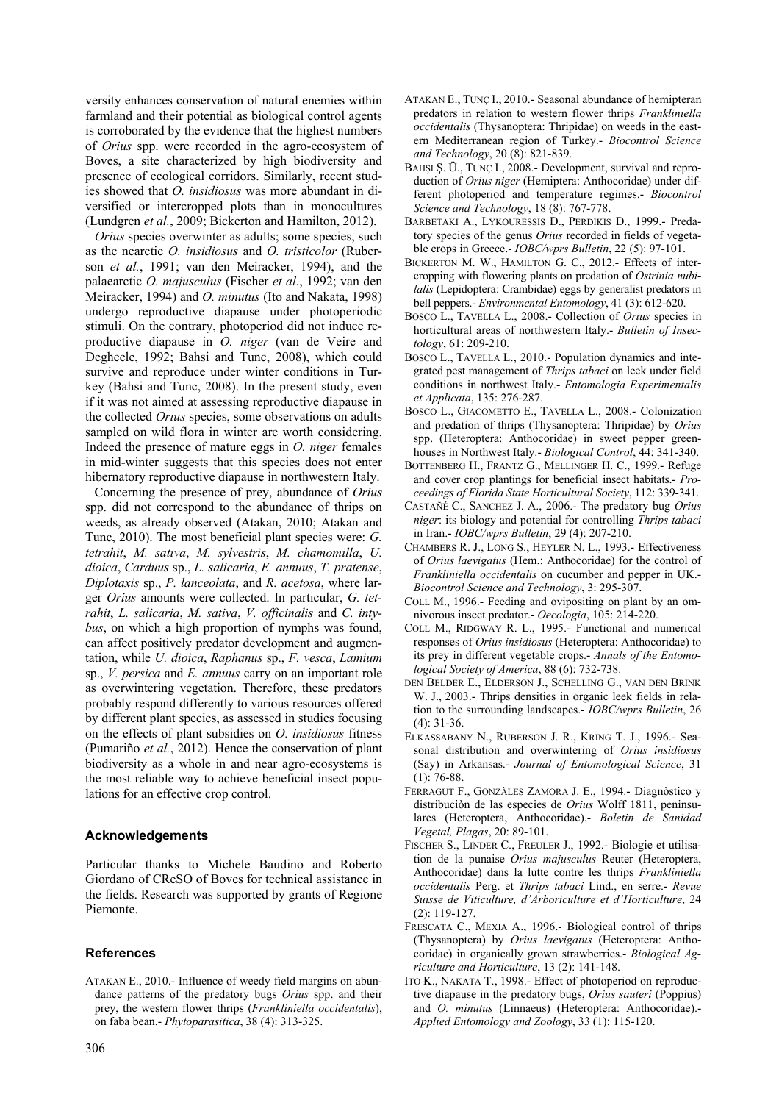versity enhances conservation of natural enemies within farmland and their potential as biological control agents is corroborated by the evidence that the highest numbers of *Orius* spp. were recorded in the agro-ecosystem of Boves, a site characterized by high biodiversity and presence of ecological corridors. Similarly, recent studies showed that *O. insidiosus* was more abundant in diversified or intercropped plots than in monocultures (Lundgren *et al.*, 2009; Bickerton and Hamilton, 2012).

*Orius* species overwinter as adults; some species, such as the nearctic *O. insidiosus* and *O. tristicolor* (Ruberson *et al.*, 1991; van den Meiracker, 1994), and the palaearctic *O. majusculus* (Fischer *et al.*, 1992; van den Meiracker, 1994) and *O. minutus* (Ito and Nakata, 1998) undergo reproductive diapause under photoperiodic stimuli. On the contrary, photoperiod did not induce reproductive diapause in *O. niger* (van de Veire and Degheele, 1992; Bahsi and Tunc, 2008), which could survive and reproduce under winter conditions in Turkey (Bahsi and Tunc, 2008). In the present study, even if it was not aimed at assessing reproductive diapause in the collected *Orius* species, some observations on adults sampled on wild flora in winter are worth considering. Indeed the presence of mature eggs in *O. niger* females in mid-winter suggests that this species does not enter hibernatory reproductive diapause in northwestern Italy.

Concerning the presence of prey, abundance of *Orius* spp. did not correspond to the abundance of thrips on weeds, as already observed (Atakan, 2010; Atakan and Tunc, 2010). The most beneficial plant species were: *G. tetrahit*, *M. sativa*, *M. sylvestris*, *M. chamomilla*, *U. dioica*, *Carduus* sp., *L. salicaria*, *E. annuus*, *T. pratense*, *Diplotaxis* sp., *P. lanceolata*, and *R. acetosa*, where larger *Orius* amounts were collected. In particular, *G. tetrahit*, *L. salicaria*, *M. sativa*, *V. officinalis* and *C. intybus*, on which a high proportion of nymphs was found, can affect positively predator development and augmentation, while *U. dioica*, *Raphanus* sp., *F. vesca*, *Lamium* sp., *V. persica* and *E. annuus* carry on an important role as overwintering vegetation. Therefore, these predators probably respond differently to various resources offered by different plant species, as assessed in studies focusing on the effects of plant subsidies on *O. insidiosus* fitness (Pumariño *et al.*, 2012). Hence the conservation of plant biodiversity as a whole in and near agro-ecosystems is the most reliable way to achieve beneficial insect populations for an effective crop control.

## **Acknowledgements**

Particular thanks to Michele Baudino and Roberto Giordano of CReSO of Boves for technical assistance in the fields. Research was supported by grants of Regione Piemonte.

## **References**

ATAKAN E., 2010.- Influence of weedy field margins on abundance patterns of the predatory bugs *Orius* spp. and their prey, the western flower thrips (*Frankliniella occidentalis*), on faba bean.- *Phytoparasitica*, 38 (4): 313-325.

- ATAKAN E., TUNÇ I., 2010.- Seasonal abundance of hemipteran predators in relation to western flower thrips *Frankliniella occidentalis* (Thysanoptera: Thripidae) on weeds in the eastern Mediterranean region of Turkey.- *Biocontrol Science and Technology*, 20 (8): 821-839.
- BAHŞI Ş. Ü., TUNÇ I., 2008.- Development, survival and reproduction of *Orius niger* (Hemiptera: Anthocoridae) under different photoperiod and temperature regimes.- *Biocontrol Science and Technology*, 18 (8): 767-778.
- BARBETAKI A., LYKOURESSIS D., PERDIKIS D., 1999.- Predatory species of the genus *Orius* recorded in fields of vegetable crops in Greece.- *IOBC/wprs Bulletin*, 22 (5): 97-101.
- BICKERTON M. W., HAMILTON G. C., 2012.- Effects of intercropping with flowering plants on predation of *Ostrinia nubilalis* (Lepidoptera: Crambidae) eggs by generalist predators in bell peppers.- *Environmental Entomology*, 41 (3): 612-620.
- BOSCO L., TAVELLA L., 2008.- Collection of *Orius* species in horticultural areas of northwestern Italy.- *Bulletin of Insectology*, 61: 209-210.
- BOSCO L., TAVELLA L., 2010.- Population dynamics and integrated pest management of *Thrips tabaci* on leek under field conditions in northwest Italy.- *Entomologia Experimentalis et Applicata*, 135: 276-287.
- BOSCO L., GIACOMETTO E., TAVELLA L., 2008.- Colonization and predation of thrips (Thysanoptera: Thripidae) by *Orius* spp. (Heteroptera: Anthocoridae) in sweet pepper greenhouses in Northwest Italy.- *Biological Control*, 44: 341-340.
- BOTTENBERG H., FRANTZ G., MELLINGER H. C., 1999.- Refuge and cover crop plantings for beneficial insect habitats.- *Proceedings of Florida State Horticultural Society*, 112: 339-341.
- CASTAÑÉ C., SANCHEZ J. A., 2006.- The predatory bug *Orius niger*: its biology and potential for controlling *Thrips tabaci* in Iran.- *IOBC/wprs Bulletin*, 29 (4): 207-210.
- CHAMBERS R. J., LONG S., HEYLER N. L., 1993.- Effectiveness of *Orius laevigatus* (Hem.: Anthocoridae) for the control of *Frankliniella occidentalis* on cucumber and pepper in UK.- *Biocontrol Science and Technology*, 3: 295-307.
- COLL M., 1996.- Feeding and ovipositing on plant by an omnivorous insect predator.- *Oecologia*, 105: 214-220.
- COLL M., RIDGWAY R. L., 1995.- Functional and numerical responses of *Orius insidiosus* (Heteroptera: Anthocoridae) to its prey in different vegetable crops.- *Annals of the Entomological Society of America*, 88 (6): 732-738.
- DEN BELDER E., ELDERSON J., SCHELLING G., VAN DEN BRINK W. J., 2003.- Thrips densities in organic leek fields in relation to the surrounding landscapes.- *IOBC/wprs Bulletin*, 26 (4): 31-36.
- ELKASSABANY N., RUBERSON J. R., KRING T. J., 1996.- Seasonal distribution and overwintering of *Orius insidiosus* (Say) in Arkansas.- *Journal of Entomological Science*, 31 (1): 76-88.
- FERRAGUT F., GONZÀLES ZAMORA J. E., 1994.- Diagnòstico y distribuciòn de las especies de *Orius* Wolff 1811, peninsulares (Heteroptera, Anthocoridae).- *Boletin de Sanidad Vegetal, Plagas*, 20: 89-101.
- FISCHER S., LINDER C., FREULER J., 1992.- Biologie et utilisation de la punaise *Orius majusculus* Reuter (Heteroptera, Anthocoridae) dans la lutte contre les thrips *Frankliniella occidentalis* Perg. et *Thrips tabaci* Lind., en serre.- *Revue Suisse de Viticulture, d'Arboriculture et d'Horticulture*, 24 (2): 119-127.
- FRESCATA C., MEXIA A., 1996.- Biological control of thrips (Thysanoptera) by *Orius laevigatus* (Heteroptera: Anthocoridae) in organically grown strawberries.- *Biological Agriculture and Horticulture*, 13 (2): 141-148.
- ITO K., NAKATA T., 1998.- Effect of photoperiod on reproductive diapause in the predatory bugs, *Orius sauteri* (Poppius) and *O. minutus* (Linnaeus) (Heteroptera: Anthocoridae).- *Applied Entomology and Zoology*, 33 (1): 115-120.